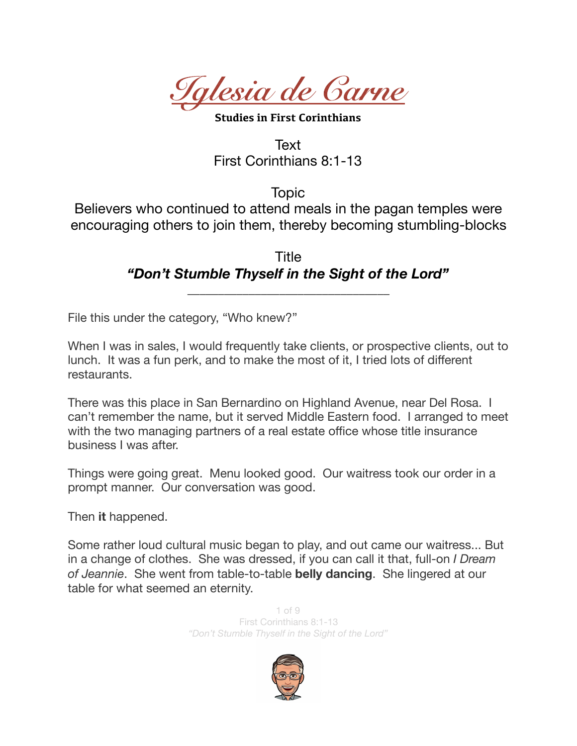*Iglesia de Carne* 

**Studies in First Corinthians** 

Text First Corinthians 8:1-13

Topic

Believers who continued to attend meals in the pagan temples were encouraging others to join them, thereby becoming stumbling-blocks

> Title *"Don't Stumble Thyself in the Sight of the Lord"*

> > *\_\_\_\_\_\_\_\_\_\_\_\_\_\_\_\_\_\_\_\_\_\_\_\_\_\_\_\_\_\_\_\_\_*

File this under the category, "Who knew?"

When I was in sales, I would frequently take clients, or prospective clients, out to lunch. It was a fun perk, and to make the most of it, I tried lots of different restaurants.

There was this place in San Bernardino on Highland Avenue, near Del Rosa. I can't remember the name, but it served Middle Eastern food. I arranged to meet with the two managing partners of a real estate office whose title insurance business I was after.

Things were going great. Menu looked good. Our waitress took our order in a prompt manner. Our conversation was good.

Then **it** happened.

Some rather loud cultural music began to play, and out came our waitress... But in a change of clothes. She was dressed, if you can call it that, full-on *I Dream of Jeannie*. She went from table-to-table **belly dancing**. She lingered at our table for what seemed an eternity.

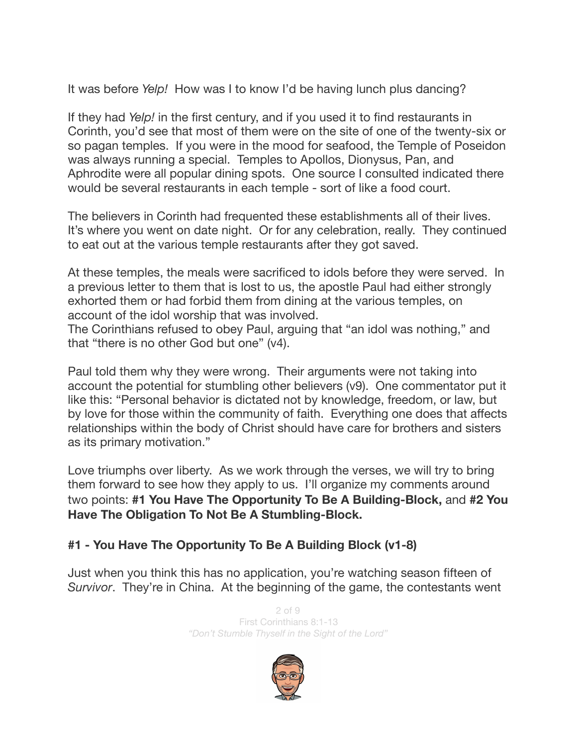It was before *Yelp!* How was I to know I'd be having lunch plus dancing?

If they had *Yelp!* in the first century, and if you used it to find restaurants in Corinth, you'd see that most of them were on the site of one of the twenty-six or so pagan temples. If you were in the mood for seafood, the Temple of Poseidon was always running a special. Temples to Apollos, Dionysus, Pan, and Aphrodite were all popular dining spots. One source I consulted indicated there would be several restaurants in each temple - sort of like a food court.

The believers in Corinth had frequented these establishments all of their lives. It's where you went on date night. Or for any celebration, really. They continued to eat out at the various temple restaurants after they got saved.

At these temples, the meals were sacrificed to idols before they were served. In a previous letter to them that is lost to us, the apostle Paul had either strongly exhorted them or had forbid them from dining at the various temples, on account of the idol worship that was involved.

The Corinthians refused to obey Paul, arguing that "an idol was nothing," and that "there is no other God but one" (v4).

Paul told them why they were wrong. Their arguments were not taking into account the potential for stumbling other believers (v9). One commentator put it like this: "Personal behavior is dictated not by knowledge, freedom, or law, but by love for those within the community of faith. Everything one does that affects relationships within the body of Christ should have care for brothers and sisters as its primary motivation."

Love triumphs over liberty. As we work through the verses, we will try to bring them forward to see how they apply to us. I'll organize my comments around two points: **#1 You Have The Opportunity To Be A Building-Block,** and **#2 You Have The Obligation To Not Be A Stumbling-Block.** 

## **#1 - You Have The Opportunity To Be A Building Block (v1-8)**

Just when you think this has no application, you're watching season fifteen of *Survivor*. They're in China. At the beginning of the game, the contestants went

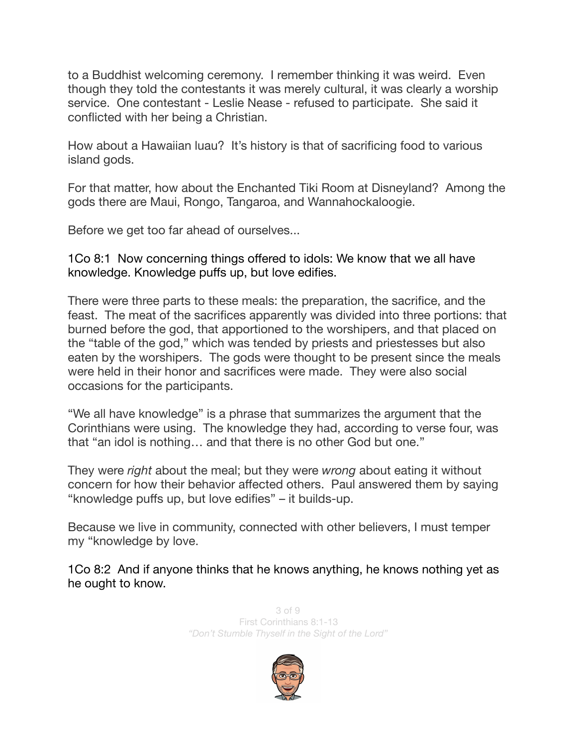to a Buddhist welcoming ceremony. I remember thinking it was weird. Even though they told the contestants it was merely cultural, it was clearly a worship service. One contestant - Leslie Nease - refused to participate. She said it conflicted with her being a Christian.

How about a Hawaiian luau? It's history is that of sacrificing food to various island gods.

For that matter, how about the Enchanted Tiki Room at Disneyland? Among the gods there are Maui, Rongo, Tangaroa, and Wannahockaloogie.

Before we get too far ahead of ourselves...

1Co 8:1 Now concerning things offered to idols: We know that we all have knowledge. Knowledge puffs up, but love edifies.

There were three parts to these meals: the preparation, the sacrifice, and the feast. The meat of the sacrifices apparently was divided into three portions: that burned before the god, that apportioned to the worshipers, and that placed on the "table of the god," which was tended by priests and priestesses but also eaten by the worshipers. The gods were thought to be present since the meals were held in their honor and sacrifices were made. They were also social occasions for the participants.

"We all have knowledge" is a phrase that summarizes the argument that the Corinthians were using. The knowledge they had, according to verse four, was that "an idol is nothing… and that there is no other God but one."

They were *right* about the meal; but they were *wrong* about eating it without concern for how their behavior affected others. Paul answered them by saying "knowledge puffs up, but love edifies" – it builds-up.

Because we live in community, connected with other believers, I must temper my "knowledge by love.

1Co 8:2 And if anyone thinks that he knows anything, he knows nothing yet as he ought to know.

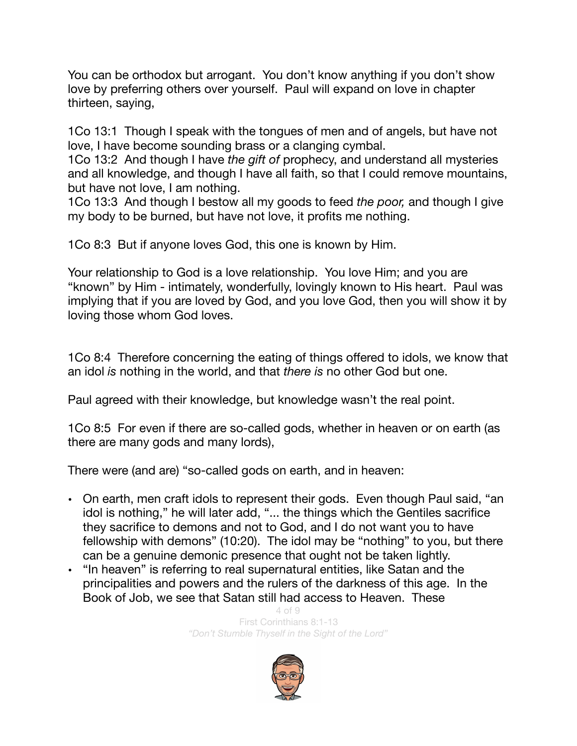You can be orthodox but arrogant. You don't know anything if you don't show love by preferring others over yourself. Paul will expand on love in chapter thirteen, saying,

1Co 13:1 Though I speak with the tongues of men and of angels, but have not love, I have become sounding brass or a clanging cymbal.

1Co 13:2 And though I have *the gift of* prophecy, and understand all mysteries and all knowledge, and though I have all faith, so that I could remove mountains, but have not love, I am nothing.

1Co 13:3 And though I bestow all my goods to feed *the poor,* and though I give my body to be burned, but have not love, it profits me nothing.

1Co 8:3 But if anyone loves God, this one is known by Him.

Your relationship to God is a love relationship. You love Him; and you are "known" by Him - intimately, wonderfully, lovingly known to His heart. Paul was implying that if you are loved by God, and you love God, then you will show it by loving those whom God loves.

1Co 8:4 Therefore concerning the eating of things offered to idols, we know that an idol *is* nothing in the world, and that *there is* no other God but one.

Paul agreed with their knowledge, but knowledge wasn't the real point.

1Co 8:5 For even if there are so-called gods, whether in heaven or on earth (as there are many gods and many lords),

There were (and are) "so-called gods on earth, and in heaven:

- On earth, men craft idols to represent their gods. Even though Paul said, "an idol is nothing," he will later add, "... the things which the Gentiles sacrifice they sacrifice to demons and not to God, and I do not want you to have fellowship with demons" (10:20). The idol may be "nothing" to you, but there can be a genuine demonic presence that ought not be taken lightly.
- "In heaven" is referring to real supernatural entities, like Satan and the principalities and powers and the rulers of the darkness of this age. In the Book of Job, we see that Satan still had access to Heaven. These

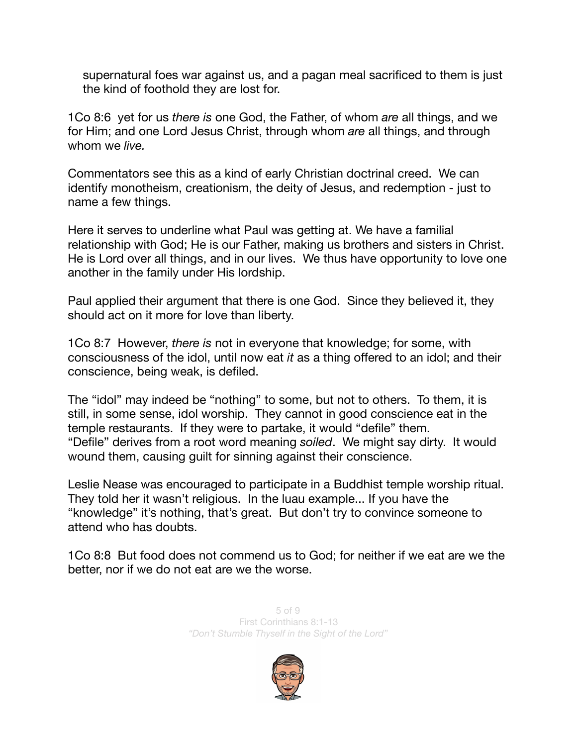supernatural foes war against us, and a pagan meal sacrificed to them is just the kind of foothold they are lost for.

1Co 8:6 yet for us *there is* one God, the Father, of whom *are* all things, and we for Him; and one Lord Jesus Christ, through whom *are* all things, and through whom we *live.* 

Commentators see this as a kind of early Christian doctrinal creed. We can identify monotheism, creationism, the deity of Jesus, and redemption - just to name a few things.

Here it serves to underline what Paul was getting at. We have a familial relationship with God; He is our Father, making us brothers and sisters in Christ. He is Lord over all things, and in our lives. We thus have opportunity to love one another in the family under His lordship.

Paul applied their argument that there is one God. Since they believed it, they should act on it more for love than liberty.

1Co 8:7 However, *there is* not in everyone that knowledge; for some, with consciousness of the idol, until now eat *it* as a thing offered to an idol; and their conscience, being weak, is defiled.

The "idol" may indeed be "nothing" to some, but not to others. To them, it is still, in some sense, idol worship. They cannot in good conscience eat in the temple restaurants. If they were to partake, it would "defile" them. "Defile" derives from a root word meaning *soiled*. We might say dirty. It would wound them, causing guilt for sinning against their conscience.

Leslie Nease was encouraged to participate in a Buddhist temple worship ritual. They told her it wasn't religious. In the luau example... If you have the "knowledge" it's nothing, that's great. But don't try to convince someone to attend who has doubts.

1Co 8:8 But food does not commend us to God; for neither if we eat are we the better, nor if we do not eat are we the worse.

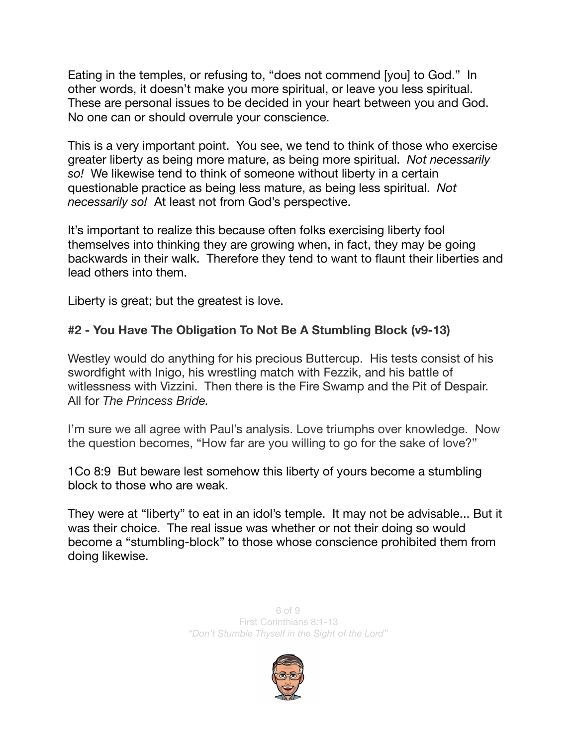Eating in the temples, or refusing to, "does not commend [you] to God." In other words, it doesn't make you more spiritual, or leave you less spiritual. These are personal issues to be decided in your heart between you and God. No one can or should overrule your conscience.

This is a very important point. You see, we tend to think of those who exercise greater liberty as being more mature, as being more spiritual. *Not necessarily so!* We likewise tend to think of someone without liberty in a certain questionable practice as being less mature, as being less spiritual. *Not necessarily so!* At least not from God's perspective.

It's important to realize this because often folks exercising liberty fool themselves into thinking they are growing when, in fact, they may be going backwards in their walk. Therefore they tend to want to flaunt their liberties and lead others into them.

Liberty is great; but the greatest is love.

## **#2 - You Have The Obligation To Not Be A Stumbling Block (v9-13)**

Westley would do anything for his precious Buttercup. His tests consist of his swordfight with Inigo, his wrestling match with Fezzik, and his battle of witlessness with Vizzini. Then there is the Fire Swamp and the Pit of Despair. All for *The Princess Bride.* 

I'm sure we all agree with Paul's analysis. Love triumphs over knowledge. Now the question becomes, "How far are you willing to go for the sake of love?"

1Co 8:9 But beware lest somehow this liberty of yours become a stumbling block to those who are weak.

They were at "liberty" to eat in an idol's temple. It may not be advisable... But it was their choice. The real issue was whether or not their doing so would become a "stumbling-block" to those whose conscience prohibited them from doing likewise.

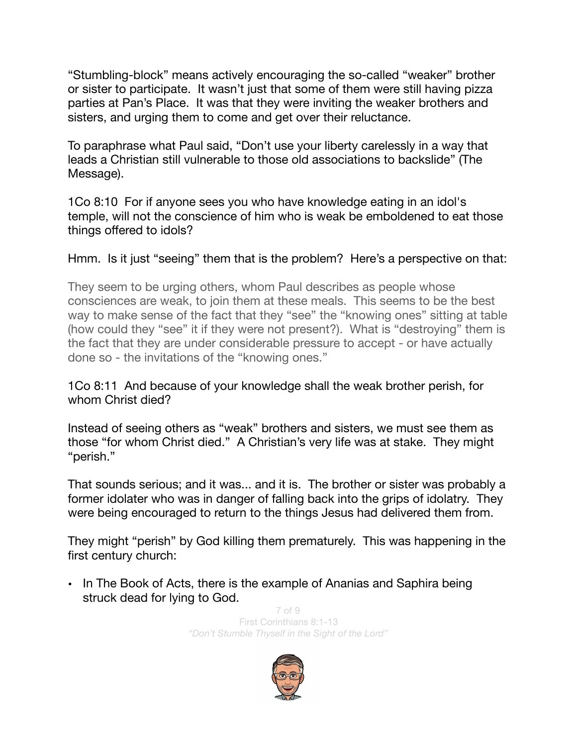"Stumbling-block" means actively encouraging the so-called "weaker" brother or sister to participate. It wasn't just that some of them were still having pizza parties at Pan's Place. It was that they were inviting the weaker brothers and sisters, and urging them to come and get over their reluctance.

To paraphrase what Paul said, "Don't use your liberty carelessly in a way that leads a Christian still vulnerable to those old associations to backslide" (The Message).

1Co 8:10 For if anyone sees you who have knowledge eating in an idol's temple, will not the conscience of him who is weak be emboldened to eat those things offered to idols?

## Hmm. Is it just "seeing" them that is the problem? Here's a perspective on that:

They seem to be urging others, whom Paul describes as people whose consciences are weak, to join them at these meals. This seems to be the best way to make sense of the fact that they "see" the "knowing ones" sitting at table (how could they "see" it if they were not present?). What is "destroying" them is the fact that they are under considerable pressure to accept - or have actually done so - the invitations of the "knowing ones."

## 1Co 8:11 And because of your knowledge shall the weak brother perish, for whom Christ died?

Instead of seeing others as "weak" brothers and sisters, we must see them as those "for whom Christ died." A Christian's very life was at stake. They might "perish."

That sounds serious; and it was... and it is. The brother or sister was probably a former idolater who was in danger of falling back into the grips of idolatry. They were being encouraged to return to the things Jesus had delivered them from.

They might "perish" by God killing them prematurely. This was happening in the first century church:

• In The Book of Acts, there is the example of Ananias and Saphira being struck dead for lying to God.

> $7<sub>o</sub>f<sub>o</sub>$ First Corinthians 8:1-13 *"Don't Stumble Thyself in the Sight of the Lord"*

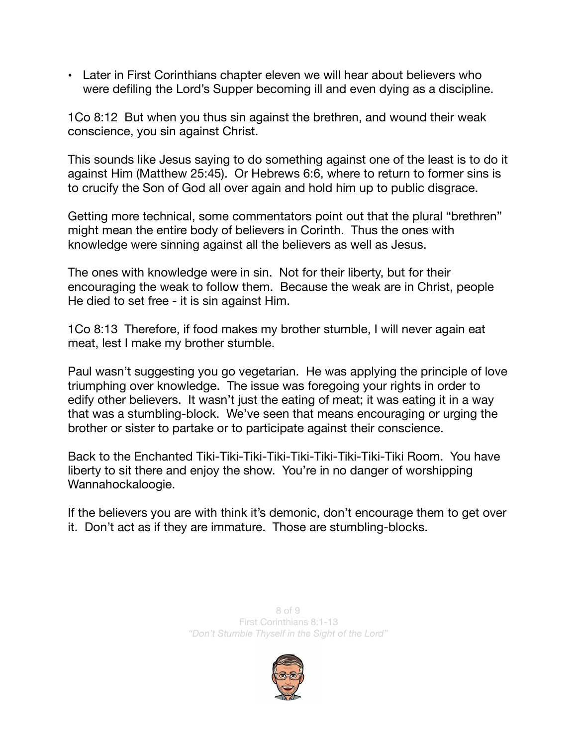• Later in First Corinthians chapter eleven we will hear about believers who were defiling the Lord's Supper becoming ill and even dying as a discipline.

1Co 8:12 But when you thus sin against the brethren, and wound their weak conscience, you sin against Christ.

This sounds like Jesus saying to do something against one of the least is to do it against Him (Matthew 25:45). Or Hebrews 6:6, where to return to former sins is to crucify the Son of God all over again and hold him up to public disgrace.

Getting more technical, some commentators point out that the plural "brethren" might mean the entire body of believers in Corinth. Thus the ones with knowledge were sinning against all the believers as well as Jesus.

The ones with knowledge were in sin. Not for their liberty, but for their encouraging the weak to follow them. Because the weak are in Christ, people He died to set free - it is sin against Him.

1Co 8:13 Therefore, if food makes my brother stumble, I will never again eat meat, lest I make my brother stumble.

Paul wasn't suggesting you go vegetarian. He was applying the principle of love triumphing over knowledge. The issue was foregoing your rights in order to edify other believers. It wasn't just the eating of meat; it was eating it in a way that was a stumbling-block. We've seen that means encouraging or urging the brother or sister to partake or to participate against their conscience.

Back to the Enchanted Tiki-Tiki-Tiki-Tiki-Tiki-Tiki-Tiki-Tiki-Tiki Room. You have liberty to sit there and enjoy the show. You're in no danger of worshipping Wannahockaloogie.

If the believers you are with think it's demonic, don't encourage them to get over it. Don't act as if they are immature. Those are stumbling-blocks.